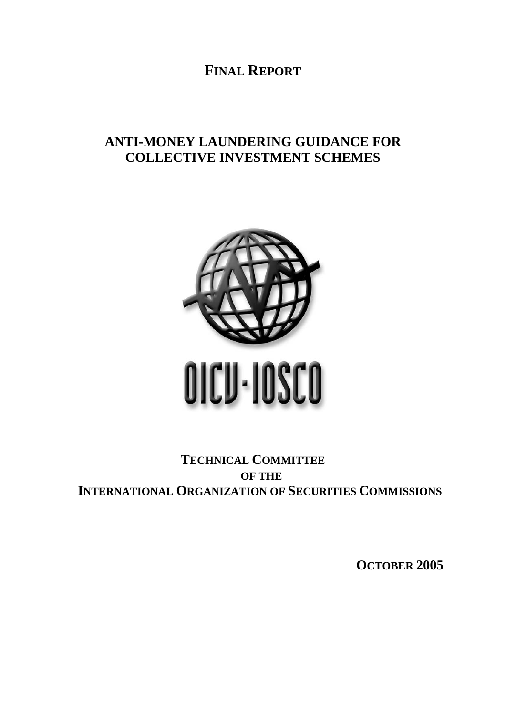# **FINAL REPORT**

# **ANTI-MONEY LAUNDERING GUIDANCE FOR COLLECTIVE INVESTMENT SCHEMES**



# **TECHNICAL COMMITTEE OF THE INTERNATIONAL ORGANIZATION OF SECURITIES COMMISSIONS**

**OCTOBER 2005**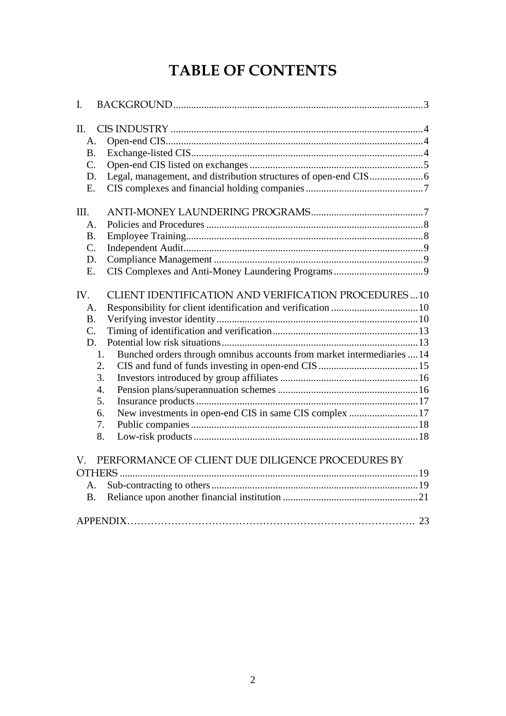# **TABLE OF CONTENTS**

| I.              |                                                                              |
|-----------------|------------------------------------------------------------------------------|
| II.             |                                                                              |
| A <sub>1</sub>  |                                                                              |
| <b>B.</b>       |                                                                              |
| $C_{\cdot}$     |                                                                              |
| D.              |                                                                              |
| E.              |                                                                              |
| III.            |                                                                              |
| A.              |                                                                              |
| <b>B.</b>       |                                                                              |
| C.              |                                                                              |
| D.              |                                                                              |
| E.              |                                                                              |
| IV.             | <b>CLIENT IDENTIFICATION AND VERIFICATION PROCEDURES10</b>                   |
| A.              |                                                                              |
| <b>B.</b>       |                                                                              |
| $\mathcal{C}$ . |                                                                              |
| D.              |                                                                              |
|                 | 1.<br>Bunched orders through omnibus accounts from market intermediaries  14 |
|                 | 2.                                                                           |
|                 | 3.                                                                           |
|                 | $\overline{4}$ .                                                             |
|                 | 5.                                                                           |
|                 | 6.                                                                           |
|                 | 7.                                                                           |
|                 | 8.                                                                           |
| V               | PERFORMANCE OF CLIENT DUE DILIGENCE PROCEDURES BY                            |
|                 |                                                                              |
| А.              |                                                                              |
| <b>B.</b>       |                                                                              |
|                 |                                                                              |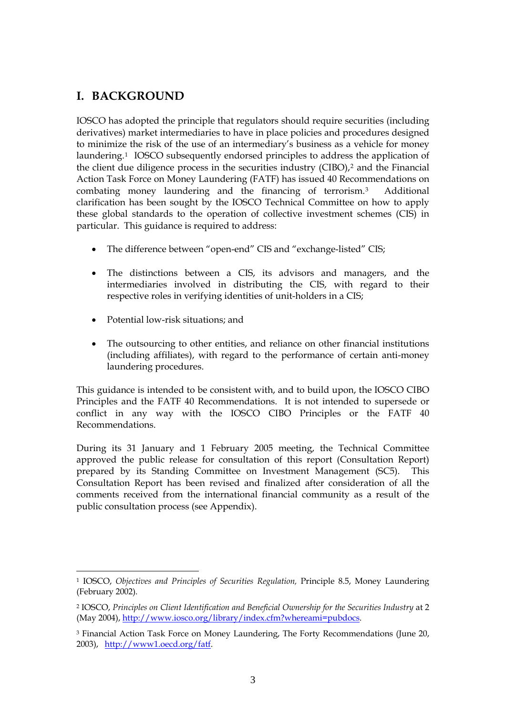# <span id="page-2-0"></span>**I. BACKGROUND**

IOSCO has adopted the principle that regulators should require securities (including derivatives) market intermediaries to have in place policies and procedures designed to minimize the risk of the use of an intermediary's business as a vehicle for money laundering.<sup>[1](#page-2-1)</sup> IOSCO subsequently endorsed principles to address the application of the client due diligence process in the securities industry (CIBO),<sup>2</sup> and the Financial Action Task Force on Money Laundering (FATF) has issued 40 Recommendations on combating money laundering and the financing of terrorism.[3](#page-2-3) Additional clarification has been sought by the IOSCO Technical Committee on how to apply these global standards to the operation of collective investment schemes (CIS) in particular. This guidance is required to address:

- The difference between "open-end" CIS and "exchange-listed" CIS;
- The distinctions between a CIS, its advisors and managers, and the intermediaries involved in distributing the CIS, with regard to their respective roles in verifying identities of unit-holders in a CIS;
- Potential low-risk situations; and

1

• The outsourcing to other entities, and reliance on other financial institutions (including affiliates), with regard to the performance of certain anti-money laundering procedures.

This guidance is intended to be consistent with, and to build upon, the IOSCO CIBO Principles and the FATF 40 Recommendations. It is not intended to supersede or conflict in any way with the IOSCO CIBO Principles or the FATF 40 Recommendations.

During its 31 January and 1 February 2005 meeting, the Technical Committee approved the public release for consultation of this report (Consultation Report) prepared by its Standing Committee on Investment Management (SC5). This Consultation Report has been revised and finalized after consideration of all the comments received from the international financial community as a result of the public consultation process (see Appendix).

<span id="page-2-1"></span><sup>1</sup> IOSCO, *Objectives and Principles of Securities Regulation,* Principle 8.5, Money Laundering (February 2002).

<span id="page-2-2"></span><sup>2</sup> IOSCO, *Principles on Client Identification and Beneficial Ownership for the Securities Industry* at 2 (May 2004),<http://www.iosco.org/library/index.cfm?whereami=pubdocs>.

<span id="page-2-3"></span><sup>3</sup> Financial Action Task Force on Money Laundering, The Forty Recommendations (June 20, 2003), <http://www1.oecd.org/fatf>.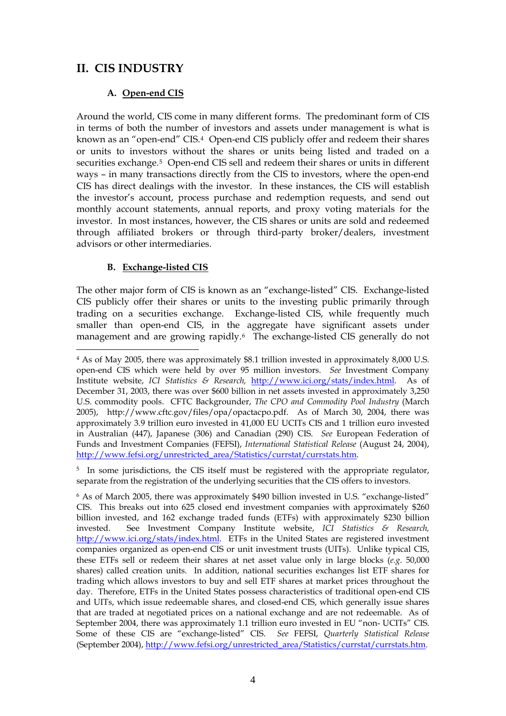# <span id="page-3-0"></span>**II. CIS INDUSTRY**

# **A. Open-end CIS**

Around the world, CIS come in many different forms. The predominant form of CIS in terms of both the number of investors and assets under management is what is known as an "open-end" CIS.[4](#page-3-1) Open-end CIS publicly offer and redeem their shares or units to investors without the shares or units being listed and traded on a securities exchange.<sup>[5](#page-3-2)</sup> Open-end CIS sell and redeem their shares or units in different ways – in many transactions directly from the CIS to investors, where the open-end CIS has direct dealings with the investor. In these instances, the CIS will establish the investor's account, process purchase and redemption requests, and send out monthly account statements, annual reports, and proxy voting materials for the investor. In most instances, however, the CIS shares or units are sold and redeemed through affiliated brokers or through third-party broker/dealers, investment advisors or other intermediaries.

## **B. Exchange-listed CIS**

The other major form of CIS is known as an "exchange-listed" CIS. Exchange-listed CIS publicly offer their shares or units to the investing public primarily through trading on a securities exchange. Exchange-listed CIS, while frequently much smaller than open-end CIS, in the aggregate have significant assets under management and are growing rapidly.[6](#page-3-3) The exchange-listed CIS generally do not

<span id="page-3-1"></span><sup>&</sup>lt;u>.</u> 4 As of May 2005, there was approximately \$8.1 trillion invested in approximately 8,000 U.S. open-end CIS which were held by over 95 million investors. *See* Investment Company Institute website, *ICI Statistics & Research,* <http://www.ici.org/stats/index.html>. As of December 31, 2003, there was over \$600 billion in net assets invested in approximately 3,250 U.S. commodity pools. CFTC Backgrounder, *The CPO and Commodity Pool Industry* (March 2005), http://www.cftc.gov/files/opa/opactacpo.pdf. As of March 30, 2004, there was approximately 3.9 trillion euro invested in 41,000 EU UCITs CIS and 1 trillion euro invested in Australian (447), Japanese (306) and Canadian (290) CIS. *See* European Federation of Funds and Investment Companies (FEFSI), *International Statistical Release* (August 24, 2004), [http://www.fefsi.org/unrestricted\\_area/Statistics/currstat/currstats.htm.](http://www.fefsi.org/unrestricted_area/Statistics/currstat/currstats.htm)

<span id="page-3-2"></span><sup>5</sup> In some jurisdictions, the CIS itself must be registered with the appropriate regulator, separate from the registration of the underlying securities that the CIS offers to investors.

<span id="page-3-3"></span><sup>6</sup> As of March 2005, there was approximately \$490 billion invested in U.S. "exchange-listed" CIS. This breaks out into 625 closed end investment companies with approximately \$260 billion invested, and 162 exchange traded funds (ETFs) with approximately \$230 billion invested. See Investment Company Institute website, *ICI Statistics & Research,*  <http://www.ici.org/stats/index.html>. ETFs in the United States are registered investment companies organized as open-end CIS or unit investment trusts (UITs). Unlike typical CIS, these ETFs sell or redeem their shares at net asset value only in large blocks (*e.g.* 50,000 shares) called creation units. In addition, national securities exchanges list ETF shares for trading which allows investors to buy and sell ETF shares at market prices throughout the day. Therefore, ETFs in the United States possess characteristics of traditional open-end CIS and UITs, which issue redeemable shares, and closed-end CIS, which generally issue shares that are traded at negotiated prices on a national exchange and are not redeemable.As of September 2004, there was approximately 1.1 trillion euro invested in EU "non- UCITs" CIS. Some of these CIS are "exchange-listed" CIS. *See* FEFSI, *Quarterly Statistical Release* (September 2004), [http://www.fefsi.org/unrestricted\\_area/Statistics/currstat/currstats.htm](http://www.fefsi.org/unrestricted_area/Statistics/currstat/currstats.htm).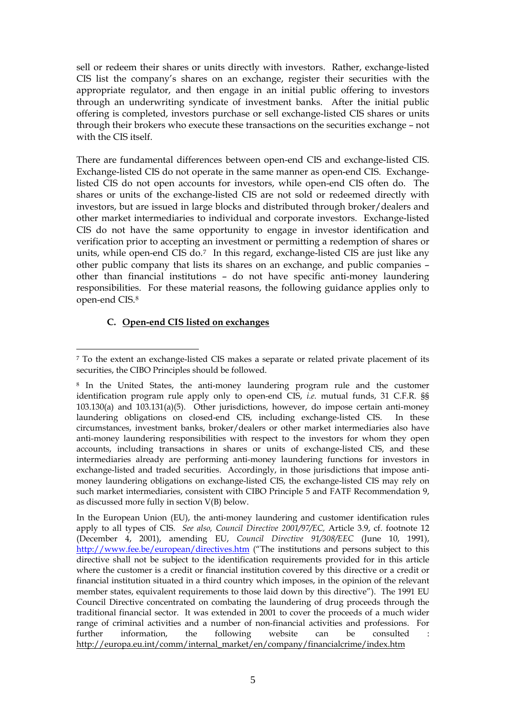<span id="page-4-0"></span>sell or redeem their shares or units directly with investors. Rather, exchange-listed CIS list the company's shares on an exchange, register their securities with the appropriate regulator, and then engage in an initial public offering to investors through an underwriting syndicate of investment banks. After the initial public offering is completed, investors purchase or sell exchange-listed CIS shares or units through their brokers who execute these transactions on the securities exchange – not with the CIS itself.

There are fundamental differences between open-end CIS and exchange-listed CIS. Exchange-listed CIS do not operate in the same manner as open-end CIS. Exchangelisted CIS do not open accounts for investors, while open-end CIS often do. The shares or units of the exchange-listed CIS are not sold or redeemed directly with investors, but are issued in large blocks and distributed through broker/dealers and other market intermediaries to individual and corporate investors. Exchange-listed CIS do not have the same opportunity to engage in investor identification and verification prior to accepting an investment or permitting a redemption of shares or units, while open-end CIS do.<sup>[7](#page-4-1)</sup> In this regard, exchange-listed CIS are just like any other public company that lists its shares on an exchange, and public companies – other than financial institutions – do not have specific anti-money laundering responsibilities. For these material reasons, the following guidance applies only to open-end CIS.[8](#page-4-2)

#### **C. Open-end CIS listed on exchanges**

<span id="page-4-1"></span><sup>1</sup> 7 To the extent an exchange-listed CIS makes a separate or related private placement of its securities, the CIBO Principles should be followed.

<span id="page-4-2"></span><sup>8</sup> In the United States, the anti-money laundering program rule and the customer identification program rule apply only to open-end CIS, *i.e.* mutual funds, 31 C.F.R. §§ 103.130(a) and 103.131(a)(5). Other jurisdictions, however, do impose certain anti-money laundering obligations on closed-end CIS, including exchange-listed CIS. In these circumstances, investment banks, broker/dealers or other market intermediaries also have anti-money laundering responsibilities with respect to the investors for whom they open accounts, including transactions in shares or units of exchange-listed CIS, and these intermediaries already are performing anti-money laundering functions for investors in exchange-listed and traded securities. Accordingly, in those jurisdictions that impose antimoney laundering obligations on exchange-listed CIS, the exchange-listed CIS may rely on such market intermediaries, consistent with CIBO Principle 5 and FATF Recommendation 9, as discussed more fully in section V(B) below.

In the European Union (EU), the anti-money laundering and customer identification rules apply to all types of CIS. *See also, Council Directive 2001/97/EC,* Article 3.9, cf. footnote 12 (December 4, 2001), amending EU, *Council Directive 91/308/EEC* (June 10, 1991), <http://www.fee.be/european/directives.htm>("The institutions and persons subject to this directive shall not be subject to the identification requirements provided for in this article where the customer is a credit or financial institution covered by this directive or a credit or financial institution situated in a third country which imposes, in the opinion of the relevant member states, equivalent requirements to those laid down by this directive"). The 1991 EU Council Directive concentrated on combating the laundering of drug proceeds through the traditional financial sector. It was extended in 2001 to cover the proceeds of a much wider range of criminal activities and a number of non-financial activities and professions. For further information, the following website can be consulted [http://europa.eu.int/comm/internal\\_market/en/company/financialcrime/index.htm](http://europa.eu.int/comm/internal_market/en/company/financialcrime/index.htm)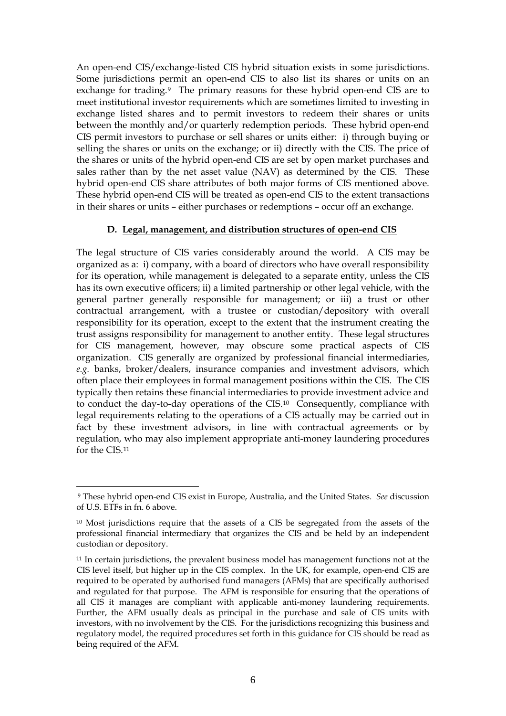<span id="page-5-0"></span>An open-end CIS/exchange-listed CIS hybrid situation exists in some jurisdictions. Some jurisdictions permit an open-end CIS to also list its shares or units on an exchange for trading.<sup>[9](#page-5-1)</sup> The primary reasons for these hybrid open-end CIS are to meet institutional investor requirements which are sometimes limited to investing in exchange listed shares and to permit investors to redeem their shares or units between the monthly and/or quarterly redemption periods. These hybrid open-end CIS permit investors to purchase or sell shares or units either: i) through buying or selling the shares or units on the exchange; or ii) directly with the CIS. The price of the shares or units of the hybrid open-end CIS are set by open market purchases and sales rather than by the net asset value (NAV) as determined by the CIS. These hybrid open-end CIS share attributes of both major forms of CIS mentioned above. These hybrid open-end CIS will be treated as open-end CIS to the extent transactions in their shares or units – either purchases or redemptions – occur off an exchange.

#### **D. Legal, management, and distribution structures of open-end CIS**

The legal structure of CIS varies considerably around the world. A CIS may be organized as a: i) company, with a board of directors who have overall responsibility for its operation, while management is delegated to a separate entity, unless the CIS has its own executive officers; ii) a limited partnership or other legal vehicle, with the general partner generally responsible for management; or iii) a trust or other contractual arrangement, with a trustee or custodian/depository with overall responsibility for its operation, except to the extent that the instrument creating the trust assigns responsibility for management to another entity. These legal structures for CIS management, however, may obscure some practical aspects of CIS organization. CIS generally are organized by professional financial intermediaries, *e.g.* banks, broker/dealers, insurance companies and investment advisors, which often place their employees in formal management positions within the CIS. The CIS typically then retains these financial intermediaries to provide investment advice and to conduct the day-to-day operations of the CIS.[10](#page-5-2) Consequently, compliance with legal requirements relating to the operations of a CIS actually may be carried out in fact by these investment advisors, in line with contractual agreements or by regulation, who may also implement appropriate anti-money laundering procedures for the CIS.[11](#page-5-3)

<span id="page-5-1"></span><sup>9</sup> These hybrid open-end CIS exist in Europe, Australia, and the United States. *See* discussion of U.S. ETFs in fn. 6 above.

<span id="page-5-2"></span><sup>10</sup> Most jurisdictions require that the assets of a CIS be segregated from the assets of the professional financial intermediary that organizes the CIS and be held by an independent custodian or depository.

<span id="page-5-3"></span><sup>&</sup>lt;sup>11</sup> In certain jurisdictions, the prevalent business model has management functions not at the CIS level itself, but higher up in the CIS complex. In the UK, for example, open-end CIS are required to be operated by authorised fund managers (AFMs) that are specifically authorised and regulated for that purpose. The AFM is responsible for ensuring that the operations of all CIS it manages are compliant with applicable anti-money laundering requirements. Further, the AFM usually deals as principal in the purchase and sale of CIS units with investors, with no involvement by the CIS. For the jurisdictions recognizing this business and regulatory model, the required procedures set forth in this guidance for CIS should be read as being required of the AFM.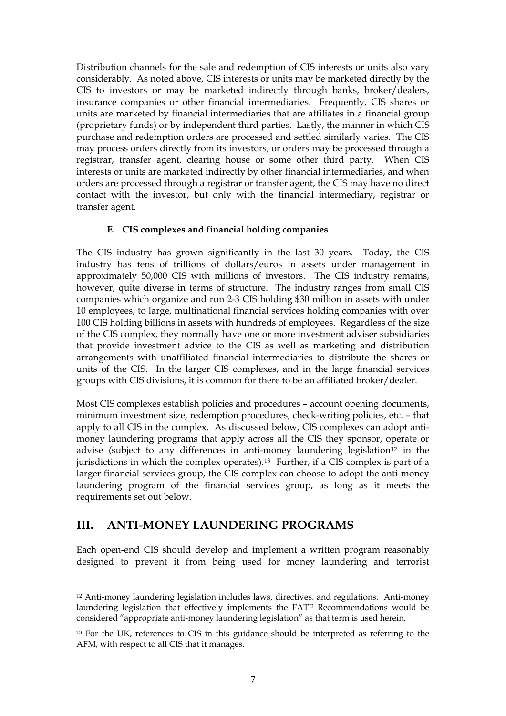<span id="page-6-0"></span>Distribution channels for the sale and redemption of CIS interests or units also vary considerably. As noted above, CIS interests or units may be marketed directly by the CIS to investors or may be marketed indirectly through banks, broker/dealers, insurance companies or other financial intermediaries. Frequently, CIS shares or units are marketed by financial intermediaries that are affiliates in a financial group (proprietary funds) or by independent third parties. Lastly, the manner in which CIS purchase and redemption orders are processed and settled similarly varies. The CIS may process orders directly from its investors, or orders may be processed through a registrar, transfer agent, clearing house or some other third party. When CIS interests or units are marketed indirectly by other financial intermediaries, and when orders are processed through a registrar or transfer agent, the CIS may have no direct contact with the investor, but only with the financial intermediary, registrar or transfer agent.

#### **E. CIS complexes and financial holding companies**

The CIS industry has grown significantly in the last 30 years. Today, the CIS industry has tens of trillions of dollars/euros in assets under management in approximately 50,000 CIS with millions of investors. The CIS industry remains, however, quite diverse in terms of structure. The industry ranges from small CIS companies which organize and run 2-3 CIS holding \$30 million in assets with under 10 employees, to large, multinational financial services holding companies with over 100 CIS holding billions in assets with hundreds of employees. Regardless of the size of the CIS complex, they normally have one or more investment adviser subsidiaries that provide investment advice to the CIS as well as marketing and distribution arrangements with unaffiliated financial intermediaries to distribute the shares or units of the CIS. In the larger CIS complexes, and in the large financial services groups with CIS divisions, it is common for there to be an affiliated broker/dealer.

Most CIS complexes establish policies and procedures – account opening documents, minimum investment size, redemption procedures, check-writing policies, etc. – that apply to all CIS in the complex. As discussed below, CIS complexes can adopt antimoney laundering programs that apply across all the CIS they sponsor, operate or advise (subject to any differences in anti-money laundering legislation<sup>[12](#page-6-1)</sup> in the jurisdictions in which the complex operates).[13](#page-6-2) Further, if a CIS complex is part of a larger financial services group, the CIS complex can choose to adopt the anti-money laundering program of the financial services group, as long as it meets the requirements set out below.

# **III. ANTI-MONEY LAUNDERING PROGRAMS**

1

Each open-end CIS should develop and implement a written program reasonably designed to prevent it from being used for money laundering and terrorist

<span id="page-6-1"></span><sup>12</sup> Anti-money laundering legislation includes laws, directives, and regulations. Anti-money laundering legislation that effectively implements the FATF Recommendations would be considered "appropriate anti-money laundering legislation" as that term is used herein.

<span id="page-6-2"></span><sup>&</sup>lt;sup>13</sup> For the UK, references to CIS in this guidance should be interpreted as referring to the AFM, with respect to all CIS that it manages.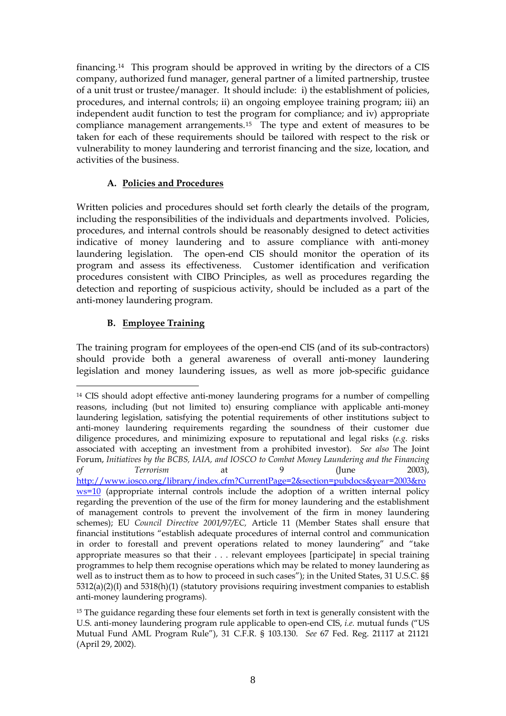<span id="page-7-0"></span>financing.[14](#page-7-1) This program should be approved in writing by the directors of a CIS company, authorized fund manager, general partner of a limited partnership, trustee of a unit trust or trustee/manager. It should include: i) the establishment of policies, procedures, and internal controls; ii) an ongoing employee training program; iii) an independent audit function to test the program for compliance; and iv) appropriate compliance management arrangements.[15](#page-7-2) The type and extent of measures to be taken for each of these requirements should be tailored with respect to the risk or vulnerability to money laundering and terrorist financing and the size, location, and activities of the business.

## **A. Policies and Procedures**

Written policies and procedures should set forth clearly the details of the program, including the responsibilities of the individuals and departments involved. Policies, procedures, and internal controls should be reasonably designed to detect activities indicative of money laundering and to assure compliance with anti-money laundering legislation. The open-end CIS should monitor the operation of its program and assess its effectiveness. Customer identification and verification procedures consistent with CIBO Principles, as well as procedures regarding the detection and reporting of suspicious activity, should be included as a part of the anti-money laundering program.

# **B. Employee Training**

<u>.</u>

The training program for employees of the open-end CIS (and of its sub-contractors) should provide both a general awareness of overall anti-money laundering legislation and money laundering issues, as well as more job-specific guidance

<span id="page-7-1"></span><sup>&</sup>lt;sup>14</sup> CIS should adopt effective anti-money laundering programs for a number of compelling reasons, including (but not limited to) ensuring compliance with applicable anti-money laundering legislation, satisfying the potential requirements of other institutions subject to anti-money laundering requirements regarding the soundness of their customer due diligence procedures, and minimizing exposure to reputational and legal risks (*e.g.* risks associated with accepting an investment from a prohibited investor). *See also* The Joint Forum, *Initiatives by the BCBS, IAIA, and IOSCO to Combat Money Laundering and the Financing of Terrorism* at 9 (June 2003), [http://www.iosco.org/library/index.cfm?CurrentPage=2&section=pubdocs&year=2003&ro](http://www.iosco.org/library/index.cfm?CurrentPage=2§ion=pubdocs&year=2003&rows=10) [ws=10](http://www.iosco.org/library/index.cfm?CurrentPage=2§ion=pubdocs&year=2003&rows=10) (appropriate internal controls include the adoption of a written internal policy regarding the prevention of the use of the firm for money laundering and the establishment of management controls to prevent the involvement of the firm in money laundering schemes); EU *Council Directive 2001/97/EC,* Article 11 (Member States shall ensure that financial institutions "establish adequate procedures of internal control and communication in order to forestall and prevent operations related to money laundering" and "take appropriate measures so that their . . . relevant employees [participate] in special training programmes to help them recognise operations which may be related to money laundering as well as to instruct them as to how to proceed in such cases"); in the United States, 31 U.S.C. §§ 5312(a)(2)(I) and 5318(h)(1) (statutory provisions requiring investment companies to establish anti-money laundering programs).

<span id="page-7-2"></span><sup>&</sup>lt;sup>15</sup> The guidance regarding these four elements set forth in text is generally consistent with the U.S. anti-money laundering program rule applicable to open-end CIS, *i.e.* mutual funds ("US Mutual Fund AML Program Rule"), 31 C.F.R. § 103.130. *See* 67 Fed. Reg. 21117 at 21121 (April 29, 2002).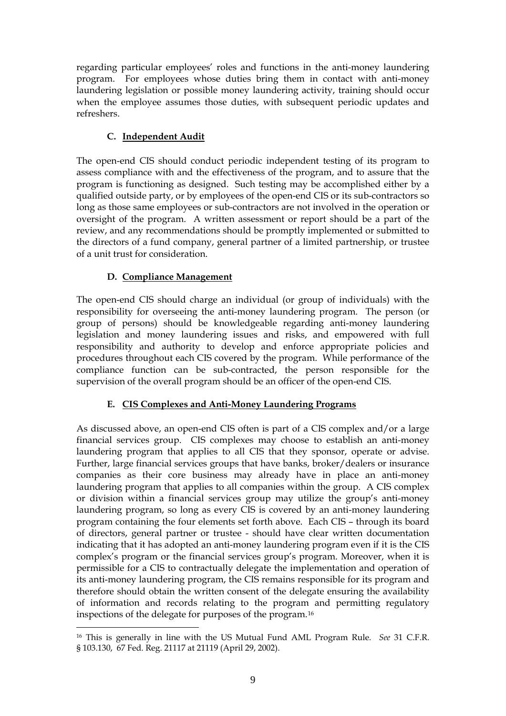<span id="page-8-0"></span>regarding particular employees' roles and functions in the anti-money laundering program. For employees whose duties bring them in contact with anti-money laundering legislation or possible money laundering activity, training should occur when the employee assumes those duties, with subsequent periodic updates and refreshers.

# **C. Independent Audit**

The open-end CIS should conduct periodic independent testing of its program to assess compliance with and the effectiveness of the program, and to assure that the program is functioning as designed. Such testing may be accomplished either by a qualified outside party, or by employees of the open-end CIS or its sub-contractors so long as those same employees or sub-contractors are not involved in the operation or oversight of the program. A written assessment or report should be a part of the review, and any recommendations should be promptly implemented or submitted to the directors of a fund company, general partner of a limited partnership, or trustee of a unit trust for consideration.

# **D. Compliance Management**

The open-end CIS should charge an individual (or group of individuals) with the responsibility for overseeing the anti-money laundering program. The person (or group of persons) should be knowledgeable regarding anti-money laundering legislation and money laundering issues and risks, and empowered with full responsibility and authority to develop and enforce appropriate policies and procedures throughout each CIS covered by the program. While performance of the compliance function can be sub-contracted, the person responsible for the supervision of the overall program should be an officer of the open-end CIS.

# **E. CIS Complexes and Anti-Money Laundering Programs**

As discussed above, an open-end CIS often is part of a CIS complex and/or a large financial services group. CIS complexes may choose to establish an anti-money laundering program that applies to all CIS that they sponsor, operate or advise. Further, large financial services groups that have banks, broker/dealers or insurance companies as their core business may already have in place an anti-money laundering program that applies to all companies within the group. A CIS complex or division within a financial services group may utilize the group's anti-money laundering program, so long as every CIS is covered by an anti-money laundering program containing the four elements set forth above. Each CIS – through its board of directors, general partner or trustee - should have clear written documentation indicating that it has adopted an anti-money laundering program even if it is the CIS complex's program or the financial services group's program. Moreover, when it is permissible for a CIS to contractually delegate the implementation and operation of its anti-money laundering program, the CIS remains responsible for its program and therefore should obtain the written consent of the delegate ensuring the availability of information and records relating to the program and permitting regulatory inspections of the delegate for purposes of the program.[16](#page-8-1)

<span id="page-8-1"></span><sup>1</sup> 16 This is generally in line with the US Mutual Fund AML Program Rule. *See* 31 C.F.R. § 103.130, 67 Fed. Reg. 21117 at 21119 (April 29, 2002).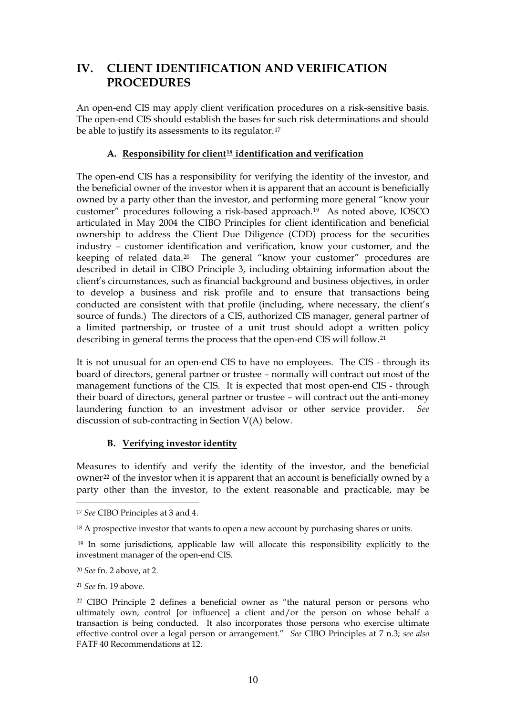# <span id="page-9-0"></span>**IV. CLIENT IDENTIFICATION AND VERIFICATION PROCEDURES**

An open-end CIS may apply client verification procedures on a risk-sensitive basis. The open-end CIS should establish the bases for such risk determinations and should be able to justify its assessments to its regulator.<sup>[17](#page-9-1)</sup>

#### **A. Responsibility for client[18](#page-9-2) identification and verification**

The open-end CIS has a responsibility for verifying the identity of the investor, and the beneficial owner of the investor when it is apparent that an account is beneficially owned by a party other than the investor, and performing more general "know your customer" procedures following a risk-based approach.[19](#page-9-3) As noted above, IOSCO articulated in May 2004 the CIBO Principles for client identification and beneficial ownership to address the Client Due Diligence (CDD) process for the securities industry – customer identification and verification, know your customer, and the keeping of related data.[20](#page-9-4) The general "know your customer" procedures are described in detail in CIBO Principle 3, including obtaining information about the client's circumstances, such as financial background and business objectives, in order to develop a business and risk profile and to ensure that transactions being conducted are consistent with that profile (including, where necessary, the client's source of funds.) The directors of a CIS, authorized CIS manager, general partner of a limited partnership, or trustee of a unit trust should adopt a written policy describing in general terms the process that the open-end CIS will follow.[21](#page-9-5)

It is not unusual for an open-end CIS to have no employees. The CIS - through its board of directors, general partner or trustee – normally will contract out most of the management functions of the CIS. It is expected that most open-end CIS - through their board of directors, general partner or trustee – will contract out the anti-money laundering function to an investment advisor or other service provider. *See* discussion of sub-contracting in Section V(A) below.

#### **B. Verifying investor identity**

Measures to identify and verify the identity of the investor, and the beneficial owner<sup>[22](#page-9-6)</sup> of the investor when it is apparent that an account is beneficially owned by a party other than the investor, to the extent reasonable and practicable, may be

<span id="page-9-1"></span><sup>17</sup> *See* CIBO Principles at 3 and 4.

<span id="page-9-2"></span><sup>&</sup>lt;sup>18</sup> A prospective investor that wants to open a new account by purchasing shares or units.

<span id="page-9-3"></span> <sup>19</sup> In some jurisdictions, applicable law will allocate this responsibility explicitly to the investment manager of the open-end CIS.

<span id="page-9-4"></span><sup>20</sup> *See* fn. 2 above, at 2.

<span id="page-9-5"></span><sup>21</sup> *See* fn. 19 above.

<span id="page-9-6"></span><sup>22</sup> CIBO Principle 2 defines a beneficial owner as "the natural person or persons who ultimately own, control [or influence] a client and/or the person on whose behalf a transaction is being conducted. It also incorporates those persons who exercise ultimate effective control over a legal person or arrangement." *See* CIBO Principles at 7 n.3; *see also*  FATF 40 Recommendations at 12.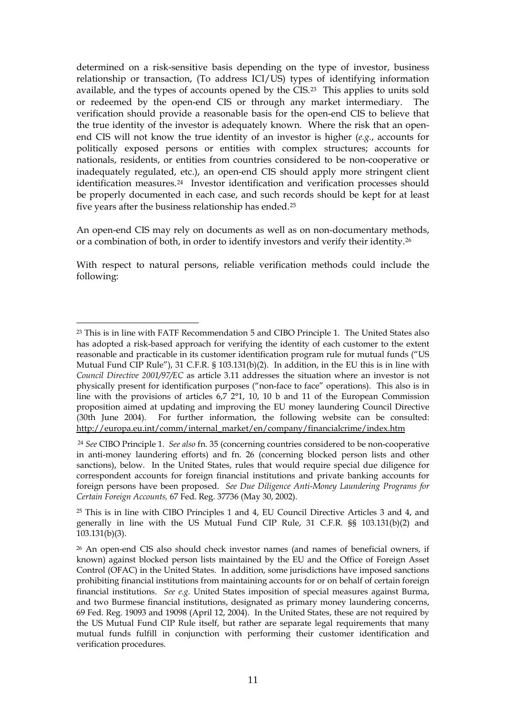determined on a risk-sensitive basis depending on the type of investor, business relationship or transaction, (To address ICI/US) types of identifying information available, and the types of accounts opened by the CIS.[23](#page-10-0) This applies to units sold or redeemed by the open-end CIS or through any market intermediary. The verification should provide a reasonable basis for the open-end CIS to believe that the true identity of the investor is adequately known. Where the risk that an openend CIS will not know the true identity of an investor is higher (*e.g.*, accounts for politically exposed persons or entities with complex structures; accounts for nationals, residents, or entities from countries considered to be non-cooperative or inadequately regulated, etc.), an open-end CIS should apply more stringent client identification measures[.24](#page-10-1) Investor identification and verification processes should be properly documented in each case, and such records should be kept for at least five years after the business relationship has ended.[25](#page-10-2)

An open-end CIS may rely on documents as well as on non-documentary methods, or a combination of both, in order to identify investors and verify their identity.[26](#page-10-3)

With respect to natural persons, reliable verification methods could include the following:

<u>.</u>

<span id="page-10-0"></span><sup>&</sup>lt;sup>23</sup> This is in line with FATF Recommendation 5 and CIBO Principle 1. The United States also has adopted a risk-based approach for verifying the identity of each customer to the extent reasonable and practicable in its customer identification program rule for mutual funds ("US Mutual Fund CIP Rule"), 31 C.F.R.  $\S$  103.131(b)(2). In addition, in the EU this is in line with *Council Directive 2001/97/EC* as article 3.11 addresses the situation where an investor is not physically present for identification purposes ("non-face to face" operations). This also is in line with the provisions of articles 6,7 2°1, 10, 10 b and 11 of the European Commission proposition aimed at updating and improving the EU money laundering Council Directive (30th June 2004). For further information, the following website can be consulted: [http://europa.eu.int/comm/internal\\_market/en/company/financialcrime/index.htm](http://europa.eu.int/comm/internal_market/en/company/financialcrime/index.htm) 

<span id="page-10-1"></span><sup>24</sup> *See* CIBO Principle 1. *See also* fn. 35 (concerning countries considered to be non-cooperative in anti-money laundering efforts) and fn. 26 (concerning blocked person lists and other sanctions), below. In the United States, rules that would require special due diligence for correspondent accounts for foreign financial institutions and private banking accounts for foreign persons have been proposed. *See Due Diligence Anti-Money Laundering Programs for Certain Foreign Accounts,* 67 Fed. Reg. 37736 (May 30, 2002).

<span id="page-10-2"></span><sup>25</sup> This is in line with CIBO Principles 1 and 4, EU Council Directive Articles 3 and 4, and generally in line with the US Mutual Fund CIP Rule, 31 C.F.R. §§ 103.131(b)(2) and 103.131(b)(3).

<span id="page-10-3"></span><sup>&</sup>lt;sup>26</sup> An open-end CIS also should check investor names (and names of beneficial owners, if known) against blocked person lists maintained by the EU and the Office of Foreign Asset Control (OFAC) in the United States. In addition, some jurisdictions have imposed sanctions prohibiting financial institutions from maintaining accounts for or on behalf of certain foreign financial institutions. *See e.g.* United States imposition of special measures against Burma, and two Burmese financial institutions, designated as primary money laundering concerns, 69 Fed. Reg. 19093 and 19098 (April 12, 2004). In the United States, these are not required by the US Mutual Fund CIP Rule itself, but rather are separate legal requirements that many mutual funds fulfill in conjunction with performing their customer identification and verification procedures.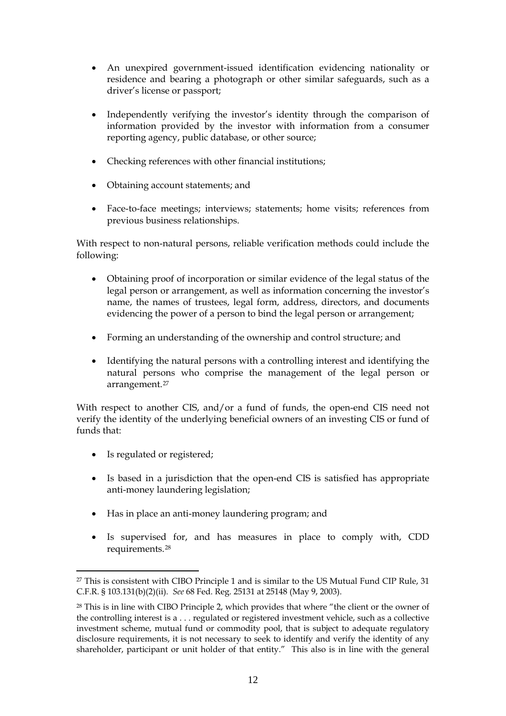- An unexpired government-issued identification evidencing nationality or residence and bearing a photograph or other similar safeguards, such as a driver's license or passport;
- Independently verifying the investor's identity through the comparison of information provided by the investor with information from a consumer reporting agency, public database, or other source;
- Checking references with other financial institutions;
- Obtaining account statements; and
- Face-to-face meetings; interviews; statements; home visits; references from previous business relationships.

With respect to non-natural persons, reliable verification methods could include the following:

- Obtaining proof of incorporation or similar evidence of the legal status of the legal person or arrangement, as well as information concerning the investor's name, the names of trustees, legal form, address, directors, and documents evidencing the power of a person to bind the legal person or arrangement;
- Forming an understanding of the ownership and control structure; and
- Identifying the natural persons with a controlling interest and identifying the natural persons who comprise the management of the legal person or arrangement.[27](#page-11-0)

With respect to another CIS, and/or a fund of funds, the open-end CIS need not verify the identity of the underlying beneficial owners of an investing CIS or fund of funds that:

• Is regulated or registered;

- Is based in a jurisdiction that the open-end CIS is satisfied has appropriate anti-money laundering legislation;
- Has in place an anti-money laundering program; and
- Is supervised for, and has measures in place to comply with, CDD requirements.[28](#page-11-1)

<span id="page-11-0"></span><sup>&</sup>lt;sup>27</sup> This is consistent with CIBO Principle 1 and is similar to the US Mutual Fund CIP Rule, 31 C.F.R. § 103.131(b)(2)(ii). *See* 68 Fed. Reg. 25131 at 25148 (May 9, 2003).

<span id="page-11-1"></span><sup>&</sup>lt;sup>28</sup> This is in line with CIBO Principle 2, which provides that where "the client or the owner of the controlling interest is a . . . regulated or registered investment vehicle, such as a collective investment scheme, mutual fund or commodity pool, that is subject to adequate regulatory disclosure requirements, it is not necessary to seek to identify and verify the identity of any shareholder, participant or unit holder of that entity." This also is in line with the general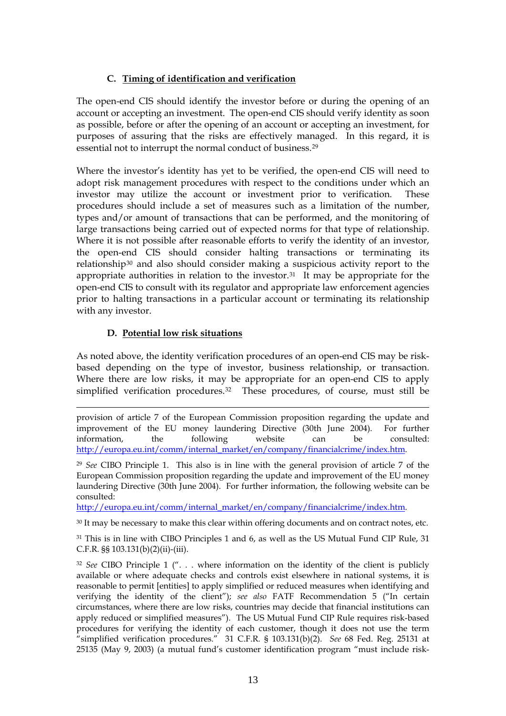# **C. Timing of identification and verification**

<span id="page-12-0"></span>The open-end CIS should identify the investor before or during the opening of an account or accepting an investment. The open-end CIS should verify identity as soon as possible, before or after the opening of an account or accepting an investment, for purposes of assuring that the risks are effectively managed. In this regard, it is essential not to interrupt the normal conduct of business.[29](#page-12-1)

Where the investor's identity has yet to be verified, the open-end CIS will need to adopt risk management procedures with respect to the conditions under which an investor may utilize the account or investment prior to verification. These procedures should include a set of measures such as a limitation of the number, types and/or amount of transactions that can be performed, and the monitoring of large transactions being carried out of expected norms for that type of relationship. Where it is not possible after reasonable efforts to verify the identity of an investor, the open-end CIS should consider halting transactions or terminating its relationship[30](#page-12-2) and also should consider making a suspicious activity report to the appropriate authorities in relation to the investor.[31](#page-12-3) It may be appropriate for the open-end CIS to consult with its regulator and appropriate law enforcement agencies prior to halting transactions in a particular account or terminating its relationship with any investor.

#### **D. Potential low risk situations**

As noted above, the identity verification procedures of an open-end CIS may be riskbased depending on the type of investor, business relationship, or transaction. Where there are low risks, it may be appropriate for an open-end CIS to apply simplified verification procedures.[32](#page-12-4) These procedures, of course, must still be

1 provision of article 7 of the European Commission proposition regarding the update and improvement of the EU money laundering Directive (30th June 2004). For further information, the following website can be consulted: [http://europa.eu.int/comm/internal\\_market/en/company/financialcrime/index.htm.](http://europa.eu.int/comm/internal_market/en/company/financialcrime/index.htm)

<span id="page-12-1"></span><sup>29</sup> *See* CIBO Principle 1. This also is in line with the general provision of article 7 of the European Commission proposition regarding the update and improvement of the EU money laundering Directive (30th June 2004). For further information, the following website can be consulted:

[http://europa.eu.int/comm/internal\\_market/en/company/financialcrime/index.htm.](http://europa.eu.int/comm/internal_market/en/company/financialcrime/index.htm)

<span id="page-12-2"></span><sup>30</sup> It may be necessary to make this clear within offering documents and on contract notes, etc.

<span id="page-12-3"></span><sup>31</sup> This is in line with CIBO Principles 1 and 6, as well as the US Mutual Fund CIP Rule, 31 C.F.R. §§ 103.131(b)(2)(ii)-(iii).

<span id="page-12-4"></span><sup>32</sup> *See* CIBO Principle 1 (". . . where information on the identity of the client is publicly available or where adequate checks and controls exist elsewhere in national systems, it is reasonable to permit [entities] to apply simplified or reduced measures when identifying and verifying the identity of the client"); *see also* FATF Recommendation 5 ("In certain circumstances, where there are low risks, countries may decide that financial institutions can apply reduced or simplified measures"). The US Mutual Fund CIP Rule requires risk-based procedures for verifying the identity of each customer, though it does not use the term "simplified verification procedures." 31 C.F.R. § 103.131(b)(2). *See* 68 Fed. Reg. 25131 at 25135 (May 9, 2003) (a mutual fund's customer identification program "must include risk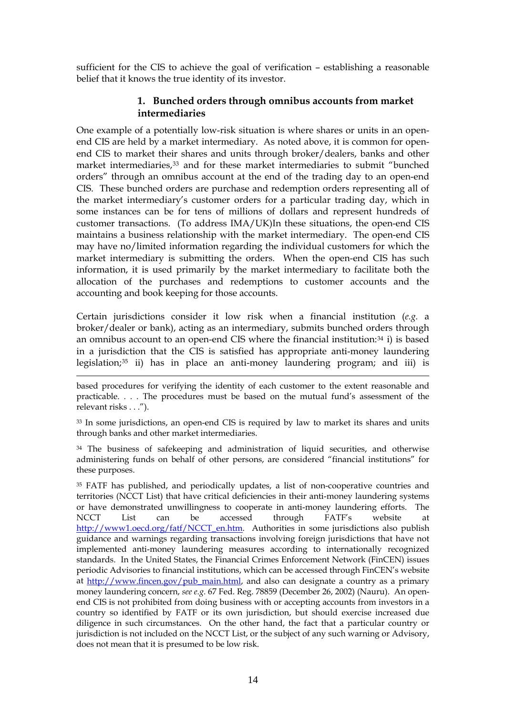<span id="page-13-0"></span>sufficient for the CIS to achieve the goal of verification – establishing a reasonable belief that it knows the true identity of its investor.

#### **1. Bunched orders through omnibus accounts from market intermediaries**

One example of a potentially low-risk situation is where shares or units in an openend CIS are held by a market intermediary. As noted above, it is common for openend CIS to market their shares and units through broker/dealers, banks and other market intermediaries,<sup>[33](#page-13-1)</sup> and for these market intermediaries to submit "bunched orders" through an omnibus account at the end of the trading day to an open-end CIS. These bunched orders are purchase and redemption orders representing all of the market intermediary's customer orders for a particular trading day, which in some instances can be for tens of millions of dollars and represent hundreds of customer transactions. (To address IMA/UK)In these situations, the open-end CIS maintains a business relationship with the market intermediary. The open-end CIS may have no/limited information regarding the individual customers for which the market intermediary is submitting the orders. When the open-end CIS has such information, it is used primarily by the market intermediary to facilitate both the allocation of the purchases and redemptions to customer accounts and the accounting and book keeping for those accounts.

Certain jurisdictions consider it low risk when a financial institution (*e.g.* a broker/dealer or bank), acting as an intermediary, submits bunched orders through an omnibus account to an open-end CIS where the financial institution:[34](#page-13-2) i) is based in a jurisdiction that the CIS is satisfied has appropriate anti-money laundering legislation;[35](#page-13-3) ii) has in place an anti-money laundering program; and iii) is

1

<span id="page-13-1"></span><sup>33</sup> In some jurisdictions, an open-end CIS is required by law to market its shares and units through banks and other market intermediaries.

<span id="page-13-2"></span><sup>34</sup> The business of safekeeping and administration of liquid securities, and otherwise administering funds on behalf of other persons, are considered "financial institutions" for these purposes.

<span id="page-13-3"></span><sup>35</sup> FATF has published, and periodically updates, a list of non-cooperative countries and territories (NCCT List) that have critical deficiencies in their anti-money laundering systems or have demonstrated unwillingness to cooperate in anti-money laundering efforts. The NCCT List can be accessed through FATF's website at [http://www1.oecd.org/fatf/NCCT\\_en.htm](http://www1.oecd.org/fatf/NCCT_en.htm). Authorities in some jurisdictions also publish guidance and warnings regarding transactions involving foreign jurisdictions that have not implemented anti-money laundering measures according to internationally recognized standards. In the United States, the Financial Crimes Enforcement Network (FinCEN) issues periodic Advisories to financial institutions, which can be accessed through FinCEN's website at [http://www.fincen.gov/pub\\_main.html,](http://www.fincen.gov/pub_main.html) and also can designate a country as a primary money laundering concern, *see e.g.* 67 Fed. Reg. 78859 (December 26, 2002) (Nauru). An openend CIS is not prohibited from doing business with or accepting accounts from investors in a country so identified by FATF or its own jurisdiction, but should exercise increased due diligence in such circumstances. On the other hand, the fact that a particular country or jurisdiction is not included on the NCCT List, or the subject of any such warning or Advisory, does not mean that it is presumed to be low risk.

based procedures for verifying the identity of each customer to the extent reasonable and practicable. . . . The procedures must be based on the mutual fund's assessment of the relevant risks . . .").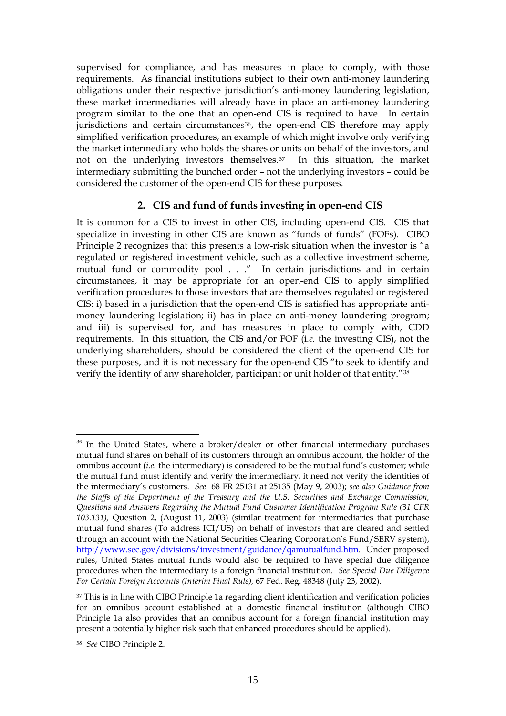<span id="page-14-0"></span>supervised for compliance, and has measures in place to comply, with those requirements. As financial institutions subject to their own anti-money laundering obligations under their respective jurisdiction's anti-money laundering legislation, these market intermediaries will already have in place an anti-money laundering program similar to the one that an open-end CIS is required to have. In certain jurisdictions and certain circumstances<sup>[36](#page-14-1)</sup>, the open-end CIS therefore may apply simplified verification procedures, an example of which might involve only verifying the market intermediary who holds the shares or units on behalf of the investors, and not on the underlying investors themselves.[37](#page-14-2) In this situation, the market intermediary submitting the bunched order – not the underlying investors – could be considered the customer of the open-end CIS for these purposes.

#### **2. CIS and fund of funds investing in open-end CIS**

It is common for a CIS to invest in other CIS, including open-end CIS. CIS that specialize in investing in other CIS are known as "funds of funds" (FOFs). CIBO Principle 2 recognizes that this presents a low-risk situation when the investor is "a regulated or registered investment vehicle, such as a collective investment scheme, mutual fund or commodity pool . . ." In certain jurisdictions and in certain circumstances, it may be appropriate for an open-end CIS to apply simplified verification procedures to those investors that are themselves regulated or registered CIS: i) based in a jurisdiction that the open-end CIS is satisfied has appropriate antimoney laundering legislation; ii) has in place an anti-money laundering program; and iii) is supervised for, and has measures in place to comply with, CDD requirements. In this situation, the CIS and/or FOF (i*.e.* the investing CIS), not the underlying shareholders, should be considered the client of the open-end CIS for these purposes, and it is not necessary for the open-end CIS "to seek to identify and verify the identity of any shareholder, participant or unit holder of that entity."[38](#page-14-3)

<span id="page-14-1"></span><sup>&</sup>lt;sup>36</sup> In the United States, where a broker/dealer or other financial intermediary purchases mutual fund shares on behalf of its customers through an omnibus account, the holder of the omnibus account (*i.e.* the intermediary) is considered to be the mutual fund's customer; while the mutual fund must identify and verify the intermediary, it need not verify the identities of the intermediary's customers. *See* 68 FR 25131 at 25135 (May 9, 2003); *see also Guidance from the Staffs of the Department of the Treasury and the U.S. Securities and Exchange Commission, Questions and Answers Regarding the Mutual Fund Customer Identification Program Rule (31 CFR 103.131),* Question 2, (August 11, 2003) (similar treatment for intermediaries that purchase mutual fund shares (To address ICI/US) on behalf of investors that are cleared and settled through an account with the National Securities Clearing Corporation's Fund/SERV system), <http://www.sec.gov/divisions/investment/guidance/qamutualfund.htm>. Under proposed rules, United States mutual funds would also be required to have special due diligence procedures when the intermediary is a foreign financial institution. *See Special Due Diligence For Certain Foreign Accounts (Interim Final Rule),* 67 Fed. Reg. 48348 (July 23, 2002).

<span id="page-14-2"></span><sup>&</sup>lt;sup>37</sup> This is in line with CIBO Principle 1a regarding client identification and verification policies for an omnibus account established at a domestic financial institution (although CIBO Principle 1a also provides that an omnibus account for a foreign financial institution may present a potentially higher risk such that enhanced procedures should be applied).

<span id="page-14-3"></span><sup>38</sup> *See* CIBO Principle 2.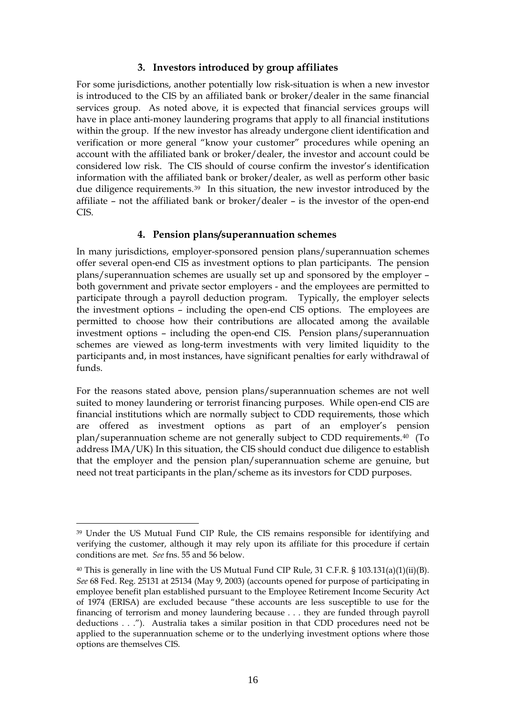#### **3. Investors introduced by group affiliates**

<span id="page-15-0"></span>For some jurisdictions, another potentially low risk-situation is when a new investor is introduced to the CIS by an affiliated bank or broker/dealer in the same financial services group. As noted above, it is expected that financial services groups will have in place anti-money laundering programs that apply to all financial institutions within the group. If the new investor has already undergone client identification and verification or more general "know your customer" procedures while opening an account with the affiliated bank or broker/dealer, the investor and account could be considered low risk. The CIS should of course confirm the investor's identification information with the affiliated bank or broker/dealer, as well as perform other basic due diligence requirements.[39](#page-15-1) In this situation, the new investor introduced by the affiliate – not the affiliated bank or broker/dealer – is the investor of the open-end CIS.

#### **4. Pension plans/superannuation schemes**

In many jurisdictions, employer-sponsored pension plans/superannuation schemes offer several open-end CIS as investment options to plan participants. The pension plans/superannuation schemes are usually set up and sponsored by the employer – both government and private sector employers - and the employees are permitted to participate through a payroll deduction program. Typically, the employer selects the investment options – including the open-end CIS options. The employees are permitted to choose how their contributions are allocated among the available investment options – including the open-end CIS. Pension plans/superannuation schemes are viewed as long-term investments with very limited liquidity to the participants and, in most instances, have significant penalties for early withdrawal of funds.

For the reasons stated above, pension plans/superannuation schemes are not well suited to money laundering or terrorist financing purposes. While open-end CIS are financial institutions which are normally subject to CDD requirements, those which are offered as investment options as part of an employer's pension plan/superannuation scheme are not generally subject to CDD requirements.[40](#page-15-2) (To address IMA/UK) In this situation, the CIS should conduct due diligence to establish that the employer and the pension plan/superannuation scheme are genuine, but need not treat participants in the plan/scheme as its investors for CDD purposes.

<span id="page-15-1"></span><sup>39</sup> Under the US Mutual Fund CIP Rule, the CIS remains responsible for identifying and verifying the customer, although it may rely upon its affiliate for this procedure if certain conditions are met. *See* fns. 55 and 56 below.

<span id="page-15-2"></span><sup>&</sup>lt;sup>40</sup> This is generally in line with the US Mutual Fund CIP Rule, 31 C.F.R. § 103.131(a)(1)(ii)(B). *See* 68 Fed. Reg. 25131 at 25134 (May 9, 2003) (accounts opened for purpose of participating in employee benefit plan established pursuant to the Employee Retirement Income Security Act of 1974 (ERISA) are excluded because "these accounts are less susceptible to use for the financing of terrorism and money laundering because . . . they are funded through payroll deductions . . ."). Australia takes a similar position in that CDD procedures need not be applied to the superannuation scheme or to the underlying investment options where those options are themselves CIS.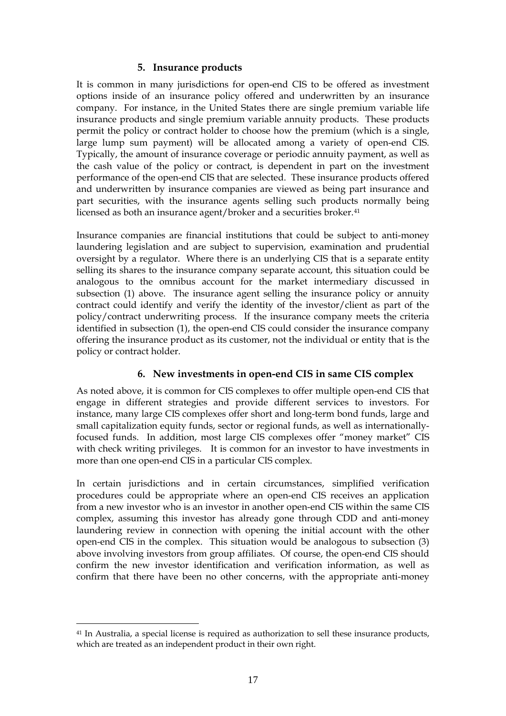#### **5. Insurance products**

<span id="page-16-0"></span>It is common in many jurisdictions for open-end CIS to be offered as investment options inside of an insurance policy offered and underwritten by an insurance company. For instance, in the United States there are single premium variable life insurance products and single premium variable annuity products. These products permit the policy or contract holder to choose how the premium (which is a single, large lump sum payment) will be allocated among a variety of open-end CIS. Typically, the amount of insurance coverage or periodic annuity payment, as well as the cash value of the policy or contract, is dependent in part on the investment performance of the open-end CIS that are selected. These insurance products offered and underwritten by insurance companies are viewed as being part insurance and part securities, with the insurance agents selling such products normally being licensed as both an insurance agent/broker and a securities broker.<sup>[41](#page-16-1)</sup>

Insurance companies are financial institutions that could be subject to anti-money laundering legislation and are subject to supervision, examination and prudential oversight by a regulator. Where there is an underlying CIS that is a separate entity selling its shares to the insurance company separate account, this situation could be analogous to the omnibus account for the market intermediary discussed in subsection (1) above. The insurance agent selling the insurance policy or annuity contract could identify and verify the identity of the investor/client as part of the policy/contract underwriting process. If the insurance company meets the criteria identified in subsection (1), the open-end CIS could consider the insurance company offering the insurance product as its customer, not the individual or entity that is the policy or contract holder.

## **6. New investments in open-end CIS in same CIS complex**

As noted above, it is common for CIS complexes to offer multiple open-end CIS that engage in different strategies and provide different services to investors. For instance, many large CIS complexes offer short and long-term bond funds, large and small capitalization equity funds, sector or regional funds, as well as internationallyfocused funds. In addition, most large CIS complexes offer "money market" CIS with check writing privileges. It is common for an investor to have investments in more than one open-end CIS in a particular CIS complex.

In certain jurisdictions and in certain circumstances, simplified verification procedures could be appropriate where an open-end CIS receives an application from a new investor who is an investor in another open-end CIS within the same CIS complex, assuming this investor has already gone through CDD and anti-money laundering review in connection with opening the initial account with the other open-end CIS in the complex. This situation would be analogous to subsection (3) above involving investors from group affiliates. Of course, the open-end CIS should confirm the new investor identification and verification information, as well as confirm that there have been no other concerns, with the appropriate anti-money

<u>.</u>

<span id="page-16-1"></span><sup>41</sup> In Australia, a special license is required as authorization to sell these insurance products, which are treated as an independent product in their own right.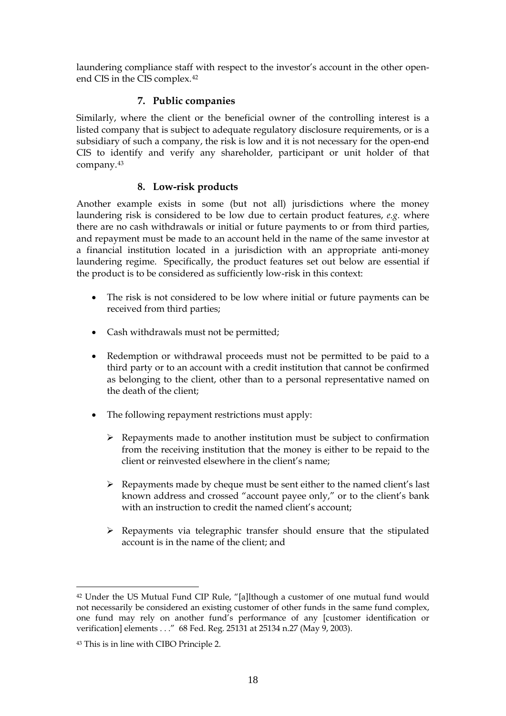<span id="page-17-0"></span>laundering compliance staff with respect to the investor's account in the other openend CIS in the CIS complex.[42](#page-17-1)

## **7. Public companies**

Similarly, where the client or the beneficial owner of the controlling interest is a listed company that is subject to adequate regulatory disclosure requirements, or is a subsidiary of such a company, the risk is low and it is not necessary for the open-end CIS to identify and verify any shareholder, participant or unit holder of that company.[43](#page-17-2)

#### **8. Low-risk products**

Another example exists in some (but not all) jurisdictions where the money laundering risk is considered to be low due to certain product features, *e.g.* where there are no cash withdrawals or initial or future payments to or from third parties, and repayment must be made to an account held in the name of the same investor at a financial institution located in a jurisdiction with an appropriate anti-money laundering regime. Specifically, the product features set out below are essential if the product is to be considered as sufficiently low-risk in this context:

- The risk is not considered to be low where initial or future payments can be received from third parties;
- Cash withdrawals must not be permitted;
- Redemption or withdrawal proceeds must not be permitted to be paid to a third party or to an account with a credit institution that cannot be confirmed as belonging to the client, other than to a personal representative named on the death of the client;
- The following repayment restrictions must apply:
	- $\triangleright$  Repayments made to another institution must be subject to confirmation from the receiving institution that the money is either to be repaid to the client or reinvested elsewhere in the client's name;
	- $\triangleright$  Repayments made by cheque must be sent either to the named client's last known address and crossed "account payee only," or to the client's bank with an instruction to credit the named client's account;
	- $\triangleright$  Repayments via telegraphic transfer should ensure that the stipulated account is in the name of the client; and

<span id="page-17-1"></span><sup>42</sup> Under the US Mutual Fund CIP Rule, "[a]lthough a customer of one mutual fund would not necessarily be considered an existing customer of other funds in the same fund complex, one fund may rely on another fund's performance of any [customer identification or verification] elements . . ." 68 Fed. Reg. 25131 at 25134 n.27 (May 9, 2003).

<span id="page-17-2"></span><sup>43</sup> This is in line with CIBO Principle 2.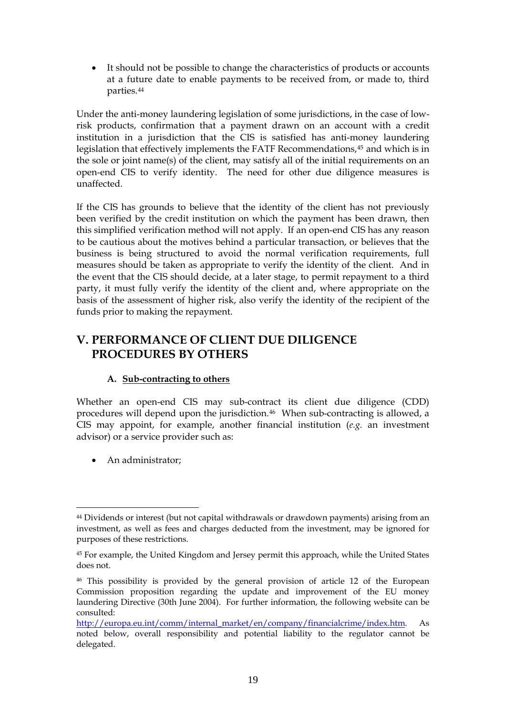<span id="page-18-0"></span>It should not be possible to change the characteristics of products or accounts at a future date to enable payments to be received from, or made to, third parties.[44](#page-18-1)

Under the anti-money laundering legislation of some jurisdictions, in the case of lowrisk products, confirmation that a payment drawn on an account with a credit institution in a jurisdiction that the CIS is satisfied has anti-money laundering legislation that effectively implements the FATF Recommendations,[45](#page-18-2) and which is in the sole or joint name(s) of the client, may satisfy all of the initial requirements on an open-end CIS to verify identity. The need for other due diligence measures is unaffected.

If the CIS has grounds to believe that the identity of the client has not previously been verified by the credit institution on which the payment has been drawn, then this simplified verification method will not apply. If an open-end CIS has any reason to be cautious about the motives behind a particular transaction, or believes that the business is being structured to avoid the normal verification requirements, full measures should be taken as appropriate to verify the identity of the client. And in the event that the CIS should decide, at a later stage, to permit repayment to a third party, it must fully verify the identity of the client and, where appropriate on the basis of the assessment of higher risk, also verify the identity of the recipient of the funds prior to making the repayment.

# **V. PERFORMANCE OF CLIENT DUE DILIGENCE PROCEDURES BY OTHERS**

# **A. Sub-contracting to others**

Whether an open-end CIS may sub-contract its client due diligence (CDD) procedures will depend upon the jurisdiction.[46](#page-18-3) When sub-contracting is allowed, a CIS may appoint, for example, another financial institution (*e.g.* an investment advisor) or a service provider such as:

• An administrator;

<span id="page-18-1"></span><sup>1</sup> 44 Dividends or interest (but not capital withdrawals or drawdown payments) arising from an investment, as well as fees and charges deducted from the investment, may be ignored for purposes of these restrictions.

<span id="page-18-2"></span><sup>45</sup> For example, the United Kingdom and Jersey permit this approach, while the United States does not.

<span id="page-18-3"></span><sup>46</sup> This possibility is provided by the general provision of article 12 of the European Commission proposition regarding the update and improvement of the EU money laundering Directive (30th June 2004). For further information, the following website can be consulted:

[http://europa.eu.int/comm/internal\\_market/en/company/financialcrime/index.htm.](http://europa.eu.int/comm/internal_market/en/company/financialcrime/index.htm) As noted below, overall responsibility and potential liability to the regulator cannot be delegated.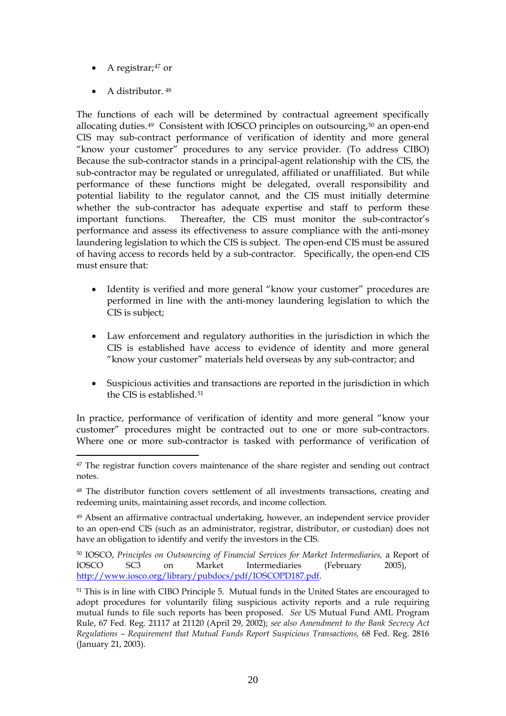- A registrar;[47](#page-19-0) or
- A distributor. [48](#page-19-1)

The functions of each will be determined by contractual agreement specifically allocating duties.[49](#page-19-2) Consistent with IOSCO principles on outsourcing,[50](#page-19-3) an open-end CIS may sub-contract performance of verification of identity and more general "know your customer" procedures to any service provider. (To address CIBO) Because the sub-contractor stands in a principal-agent relationship with the CIS, the sub-contractor may be regulated or unregulated, affiliated or unaffiliated. But while performance of these functions might be delegated, overall responsibility and potential liability to the regulator cannot, and the CIS must initially determine whether the sub-contractor has adequate expertise and staff to perform these important functions. Thereafter, the CIS must monitor the sub-contractor's performance and assess its effectiveness to assure compliance with the anti-money laundering legislation to which the CIS is subject. The open-end CIS must be assured of having access to records held by a sub-contractor.Specifically, the open-end CIS must ensure that:

- Identity is verified and more general "know your customer" procedures are performed in line with the anti-money laundering legislation to which the CIS is subject;
- Law enforcement and regulatory authorities in the jurisdiction in which the CIS is established have access to evidence of identity and more general "know your customer" materials held overseas by any sub-contractor; and
- Suspicious activities and transactions are reported in the jurisdiction in which the CIS is established.<sup>[51](#page-19-4)</sup>

In practice, performance of verification of identity and more general "know your customer" procedures might be contracted out to one or more sub-contractors. Where one or more sub-contractor is tasked with performance of verification of

<span id="page-19-2"></span>49 Absent an affirmative contractual undertaking, however, an independent service provider to an open-end CIS (such as an administrator, registrar, distributor, or custodian) does not have an obligation to identify and verify the investors in the CIS.

<span id="page-19-3"></span>50 IOSCO, *Principles on Outsourcing of Financial Services for Market Intermediaries,* a Report of IOSCO SC3 on Market Intermediaries (February 2005), [http://www.iosco.org/library/pubdocs/pdf/IOSCOPD187.pdf.](http://www.iosco.org/library/pubdocs/pdf/IOSCOPD187.pdf)

<span id="page-19-0"></span><sup>&</sup>lt;u>.</u> <sup>47</sup> The registrar function covers maintenance of the share register and sending out contract notes.

<span id="page-19-1"></span><sup>48</sup> The distributor function covers settlement of all investments transactions, creating and redeeming units, maintaining asset records, and income collection.

<span id="page-19-4"></span><sup>51</sup> This is in line with CIBO Principle 5. Mutual funds in the United States are encouraged to adopt procedures for voluntarily filing suspicious activity reports and a rule requiring mutual funds to file such reports has been proposed. *See* US Mutual Fund AML Program Rule, 67 Fed. Reg. 21117 at 21120 (April 29, 2002); *see also Amendment to the Bank Secrecy Act Regulations – Requirement that Mutual Funds Report Suspicious Transactions,* 68 Fed. Reg. 2816 (January 21, 2003).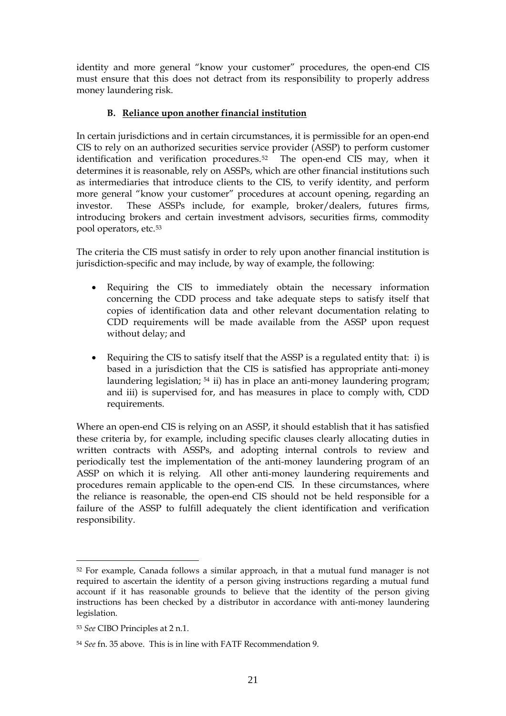<span id="page-20-0"></span>identity and more general "know your customer" procedures, the open-end CIS must ensure that this does not detract from its responsibility to properly address money laundering risk.

## **B. Reliance upon another financial institution**

In certain jurisdictions and in certain circumstances, it is permissible for an open-end CIS to rely on an authorized securities service provider (ASSP) to perform customer identification and verification procedures.[52](#page-20-1) The open-end CIS may, when it determines it is reasonable, rely on ASSPs, which are other financial institutions such as intermediaries that introduce clients to the CIS, to verify identity, and perform more general "know your customer" procedures at account opening, regarding an investor. These ASSPs include, for example, broker/dealers, futures firms, introducing brokers and certain investment advisors, securities firms, commodity pool operators, etc.[53](#page-20-2)

The criteria the CIS must satisfy in order to rely upon another financial institution is jurisdiction-specific and may include, by way of example, the following:

- Requiring the CIS to immediately obtain the necessary information concerning the CDD process and take adequate steps to satisfy itself that copies of identification data and other relevant documentation relating to CDD requirements will be made available from the ASSP upon request without delay; and
- Requiring the CIS to satisfy itself that the ASSP is a regulated entity that: i) is based in a jurisdiction that the CIS is satisfied has appropriate anti-money laundering legislation; [54](#page-20-3) ii) has in place an anti-money laundering program; and iii) is supervised for, and has measures in place to comply with, CDD requirements.

Where an open-end CIS is relying on an ASSP, it should establish that it has satisfied these criteria by, for example, including specific clauses clearly allocating duties in written contracts with ASSPs, and adopting internal controls to review and periodically test the implementation of the anti-money laundering program of an ASSP on which it is relying. All other anti-money laundering requirements and procedures remain applicable to the open-end CIS.In these circumstances, where the reliance is reasonable, the open-end CIS should not be held responsible for a failure of the ASSP to fulfill adequately the client identification and verification responsibility.

<span id="page-20-1"></span><sup>52</sup> For example, Canada follows a similar approach, in that a mutual fund manager is not required to ascertain the identity of a person giving instructions regarding a mutual fund account if it has reasonable grounds to believe that the identity of the person giving instructions has been checked by a distributor in accordance with anti-money laundering legislation.

<span id="page-20-2"></span><sup>53</sup> *See* CIBO Principles at 2 n.1.

<span id="page-20-3"></span><sup>54</sup> *See* fn. 35 above. This is in line with FATF Recommendation 9.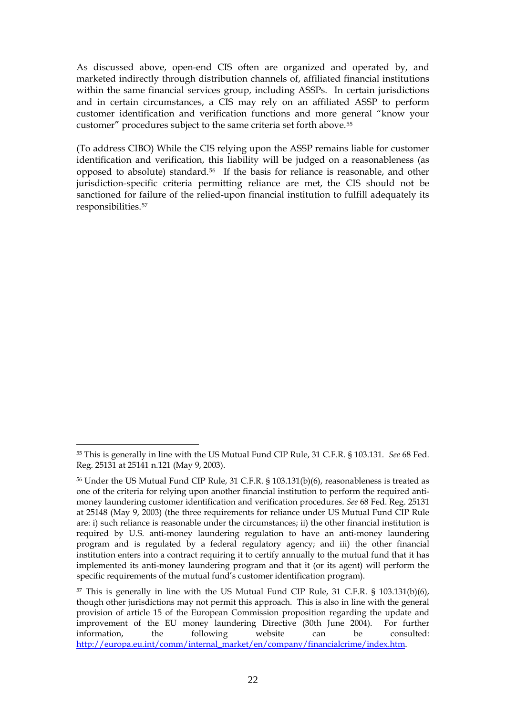As discussed above, open-end CIS often are organized and operated by, and marketed indirectly through distribution channels of, affiliated financial institutions within the same financial services group, including ASSPs. In certain jurisdictions and in certain circumstances, a CIS may rely on an affiliated ASSP to perform customer identification and verification functions and more general "know your customer" procedures subject to the same criteria set forth above.[55](#page-21-0)

(To address CIBO) While the CIS relying upon the ASSP remains liable for customer identification and verification, this liability will be judged on a reasonableness (as opposed to absolute) standard.[56](#page-21-1) If the basis for reliance is reasonable, and other jurisdiction-specific criteria permitting reliance are met, the CIS should not be sanctioned for failure of the relied-upon financial institution to fulfill adequately its responsibilities.[57](#page-21-2)

<span id="page-21-0"></span><sup>1</sup> 55 This is generally in line with the US Mutual Fund CIP Rule, 31 C.F.R. § 103.131. *See* 68 Fed. Reg. 25131 at 25141 n.121 (May 9, 2003).

<span id="page-21-1"></span><sup>56</sup> Under the US Mutual Fund CIP Rule, 31 C.F.R. § 103.131(b)(6), reasonableness is treated as one of the criteria for relying upon another financial institution to perform the required antimoney laundering customer identification and verification procedures. *See* 68 Fed. Reg. 25131 at 25148 (May 9, 2003) (the three requirements for reliance under US Mutual Fund CIP Rule are: i) such reliance is reasonable under the circumstances; ii) the other financial institution is required by U.S. anti-money laundering regulation to have an anti-money laundering program and is regulated by a federal regulatory agency; and iii) the other financial institution enters into a contract requiring it to certify annually to the mutual fund that it has implemented its anti-money laundering program and that it (or its agent) will perform the specific requirements of the mutual fund's customer identification program).

<span id="page-21-2"></span><sup>57</sup> This is generally in line with the US Mutual Fund CIP Rule, 31 C.F.R. § 103.131(b)(6), though other jurisdictions may not permit this approach. This is also in line with the general provision of article 15 of the European Commission proposition regarding the update and improvement of the EU money laundering Directive (30th June 2004). For further information, the following website can be consulted: [http://europa.eu.int/comm/internal\\_market/en/company/financialcrime/index.htm.](http://europa.eu.int/comm/internal_market/en/company/financialcrime/index.htm)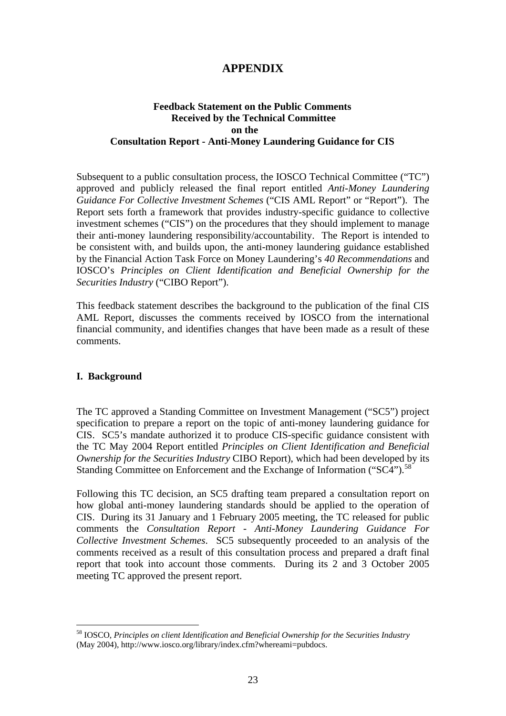# **APPENDIX**

## **Feedback Statement on the Public Comments Received by the Technical Committee on the Consultation Report - Anti-Money Laundering Guidance for CIS**

Subsequent to a public consultation process, the IOSCO Technical Committee ("TC") approved and publicly released the final report entitled *Anti-Money Laundering Guidance For Collective Investment Schemes* ("CIS AML Report" or "Report"). The Report sets forth a framework that provides industry-specific guidance to collective investment schemes ("CIS") on the procedures that they should implement to manage their anti-money laundering responsibility/accountability. The Report is intended to be consistent with, and builds upon, the anti-money laundering guidance established by the Financial Action Task Force on Money Laundering's *40 Recommendations* and IOSCO's *Principles on Client Identification and Beneficial Ownership for the Securities Industry* ("CIBO Report").

This feedback statement describes the background to the publication of the final CIS AML Report, discusses the comments received by IOSCO from the international financial community, and identifies changes that have been made as a result of these comments.

#### **I. Background**

<u>.</u>

The TC approved a Standing Committee on Investment Management ("SC5") project specification to prepare a report on the topic of anti-money laundering guidance for CIS. SC5's mandate authorized it to produce CIS-specific guidance consistent with the TC May 2004 Report entitled *Principles on Client Identification and Beneficial Ownership for the Securities Industry* CIBO Report), which had been developed by its Standing Committee on Enforcement and the Exchange of Information ("SC4").<sup>[58](#page-22-0)</sup>

Following this TC decision, an SC5 drafting team prepared a consultation report on how global anti-money laundering standards should be applied to the operation of CIS. During its 31 January and 1 February 2005 meeting, the TC released for public comments the *Consultation Report - Anti-Money Laundering Guidance For Collective Investment Schemes*. SC5 subsequently proceeded to an analysis of the comments received as a result of this consultation process and prepared a draft final report that took into account those comments. During its 2 and 3 October 2005 meeting TC approved the present report.

<span id="page-22-0"></span><sup>58</sup> IOSCO, *Principles on client Identification and Beneficial Ownership for the Securities Industry* (May 2004), http://www.iosco.org/library/index.cfm?whereami=pubdocs.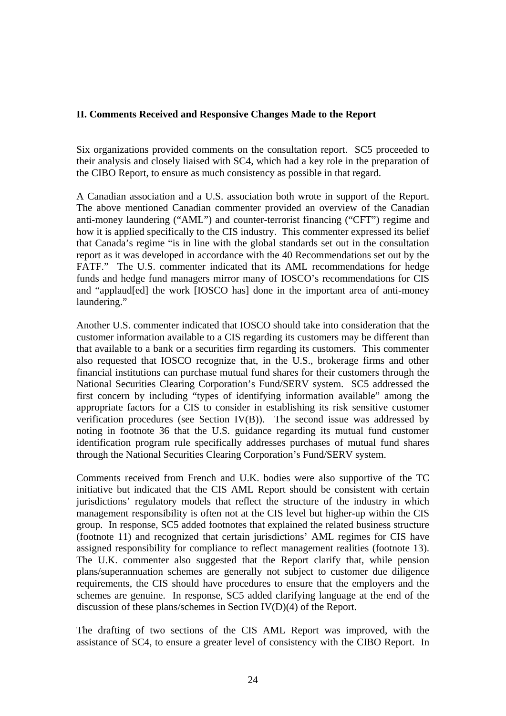#### **II. Comments Received and Responsive Changes Made to the Report**

Six organizations provided comments on the consultation report. SC5 proceeded to their analysis and closely liaised with SC4, which had a key role in the preparation of the CIBO Report, to ensure as much consistency as possible in that regard.

A Canadian association and a U.S. association both wrote in support of the Report. The above mentioned Canadian commenter provided an overview of the Canadian anti-money laundering ("AML") and counter-terrorist financing ("CFT") regime and how it is applied specifically to the CIS industry. This commenter expressed its belief that Canada's regime "is in line with the global standards set out in the consultation report as it was developed in accordance with the 40 Recommendations set out by the FATF." The U.S. commenter indicated that its AML recommendations for hedge funds and hedge fund managers mirror many of IOSCO's recommendations for CIS and "applaud[ed] the work [IOSCO has] done in the important area of anti-money laundering."

Another U.S. commenter indicated that IOSCO should take into consideration that the customer information available to a CIS regarding its customers may be different than that available to a bank or a securities firm regarding its customers. This commenter also requested that IOSCO recognize that, in the U.S., brokerage firms and other financial institutions can purchase mutual fund shares for their customers through the National Securities Clearing Corporation's Fund/SERV system. SC5 addressed the first concern by including "types of identifying information available" among the appropriate factors for a CIS to consider in establishing its risk sensitive customer verification procedures (see Section IV(B)). The second issue was addressed by noting in footnote 36 that the U.S. guidance regarding its mutual fund customer identification program rule specifically addresses purchases of mutual fund shares through the National Securities Clearing Corporation's Fund/SERV system.

Comments received from French and U.K. bodies were also supportive of the TC initiative but indicated that the CIS AML Report should be consistent with certain jurisdictions' regulatory models that reflect the structure of the industry in which management responsibility is often not at the CIS level but higher-up within the CIS group. In response, SC5 added footnotes that explained the related business structure (footnote 11) and recognized that certain jurisdictions' AML regimes for CIS have assigned responsibility for compliance to reflect management realities (footnote 13). The U.K. commenter also suggested that the Report clarify that, while pension plans/superannuation schemes are generally not subject to customer due diligence requirements, the CIS should have procedures to ensure that the employers and the schemes are genuine. In response, SC5 added clarifying language at the end of the discussion of these plans/schemes in Section IV(D)(4) of the Report.

The drafting of two sections of the CIS AML Report was improved, with the assistance of SC4, to ensure a greater level of consistency with the CIBO Report. In